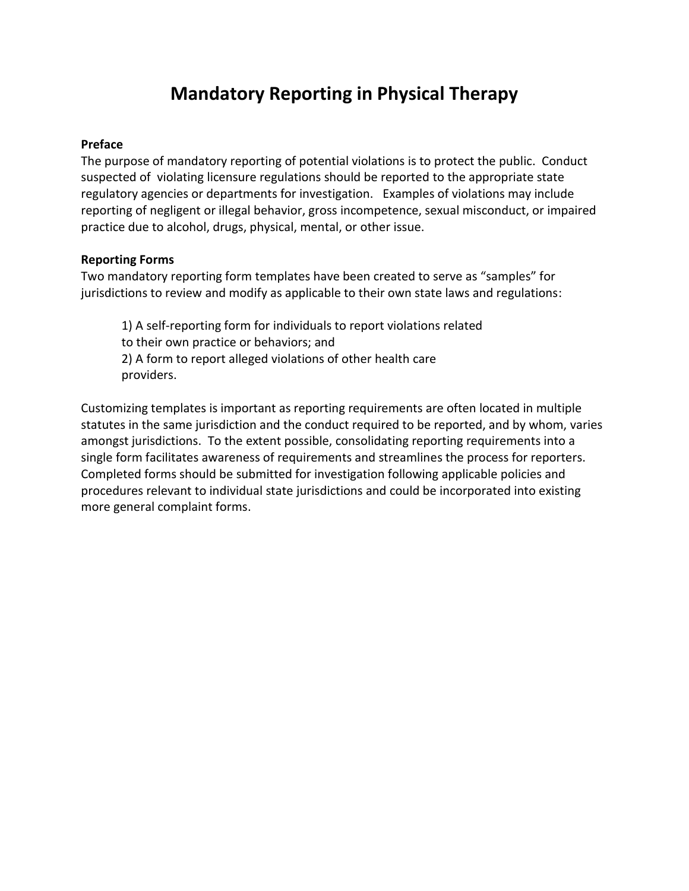## **Mandatory Reporting in Physical Therapy**

## **Preface**

The purpose of mandatory reporting of potential violations is to protect the public. Conduct suspected of violating licensure regulations should be reported to the appropriate state regulatory agencies or departments for investigation. Examples of violations may include reporting of negligent or illegal behavior, gross incompetence, sexual misconduct, or impaired practice due to alcohol, drugs, physical, mental, or other issue.

## **Reporting Forms**

Two mandatory reporting form templates have been created to serve as "samples" for jurisdictions to review and modify as applicable to their own state laws and regulations:

1) A self-reporting form for individuals to report violations related to their own practice or behaviors; and 2) A form to report alleged violations of other health care providers.

Customizing templates is important as reporting requirements are often located in multiple statutes in the same jurisdiction and the conduct required to be reported, and by whom, varies amongst jurisdictions. To the extent possible, consolidating reporting requirements into a single form facilitates awareness of requirements and streamlines the process for reporters. Completed forms should be submitted for investigation following applicable policies and procedures relevant to individual state jurisdictions and could be incorporated into existing more general complaint forms.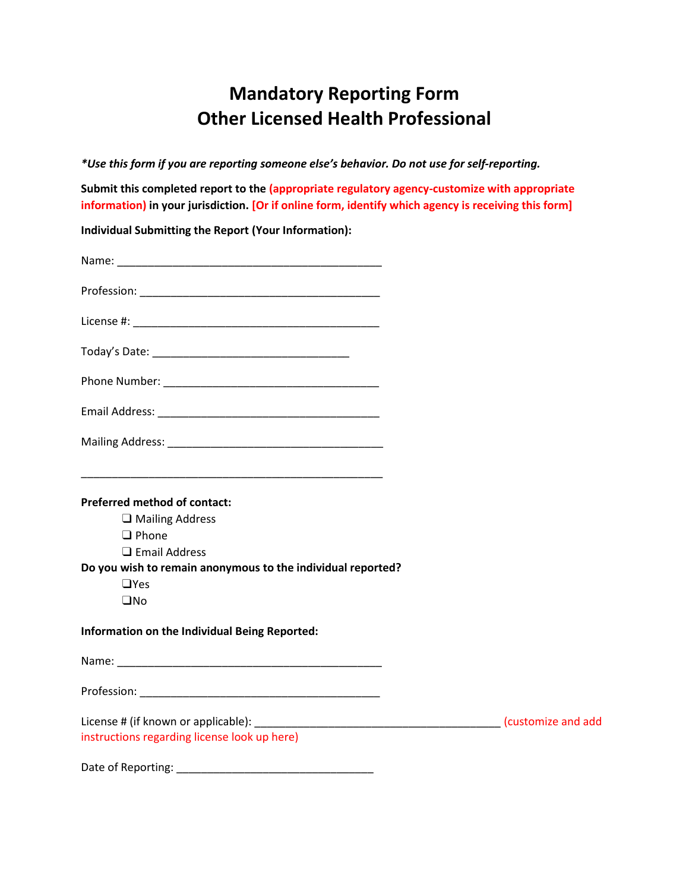## **Mandatory Reporting Form Other Licensed Health Professional**

*\*Use this form if you are reporting someone else's behavior. Do not use for self-reporting.*

**Submit this completed report to the (appropriate regulatory agency-customize with appropriate information) in your jurisdiction. [Or if online form, identify which agency is receiving this form]**

**Individual Submitting the Report (Your Information):**

| <b>Preferred method of contact:</b><br>$\Box$ Mailing Address<br>$\Box$ Phone<br>$\Box$ Email Address<br>Do you wish to remain anonymous to the individual reported?<br>$\Box$ Yes<br>$\square$ No |  |
|----------------------------------------------------------------------------------------------------------------------------------------------------------------------------------------------------|--|
| Information on the Individual Being Reported:                                                                                                                                                      |  |
|                                                                                                                                                                                                    |  |
| Profession: New York Profession:                                                                                                                                                                   |  |
| instructions regarding license look up here)                                                                                                                                                       |  |
|                                                                                                                                                                                                    |  |